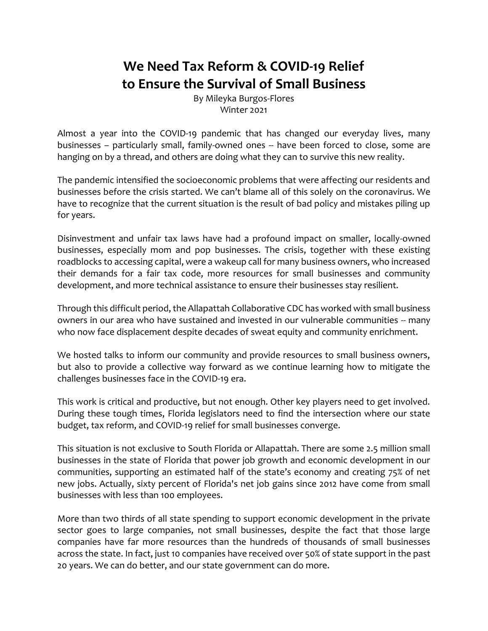## **We Need Tax Reform & COVID-19 Relief to Ensure the Survival of Small Business**

By Mileyka Burgos-Flores Winter 2021

Almost a year into the COVID-19 pandemic that has changed our everyday lives, many businesses – particularly small, family-owned ones -- have been forced to close, some are hanging on by a thread, and others are doing what they can to survive this new reality.

The pandemic intensified the socioeconomic problems that were affecting our residents and businesses before the crisis started. We can't blame all of this solely on the coronavirus. We have to recognize that the current situation is the result of bad policy and mistakes piling up for years.

Disinvestment and unfair tax laws have had a profound impact on smaller, locally-owned businesses, especially mom and pop businesses. The crisis, together with these existing roadblocks to accessing capital, were a wakeup call for many business owners, who increased their demands for a fair tax code, more resources for small businesses and community development, and more technical assistance to ensure their businesses stay resilient.

Through this difficult period, the Allapattah Collaborative CDC has worked with small business owners in our area who have sustained and invested in our vulnerable communities -- many who now face displacement despite decades of sweat equity and community enrichment.

We hosted talks to inform our community and provide resources to small business owners, but also to provide a collective way forward as we continue learning how to mitigate the challenges businesses face in the COVID-19 era.

This work is critical and productive, but not enough. Other key players need to get involved. During these tough times, Florida legislators need to find the intersection where our state budget, tax reform, and COVID-19 relief for small businesses converge.

This situation is not exclusive to South Florida or Allapattah. There are some 2.5 million small businesses in the state of Florida that power job growth and economic development in our communities, supporting an estimated half of the state's economy and creating 75% of net new jobs. Actually, sixty percent of Florida's net job gains since 2012 have come from small businesses with less than 100 employees.

More than two thirds of all state spending to support economic development in the private sector goes to large companies, not small businesses, despite the fact that those large companies have far more resources than the hundreds of thousands of small businesses across the state. In fact, just 10 companies have received over 50% of state support in the past 20 years. We can do better, and our state government can do more.